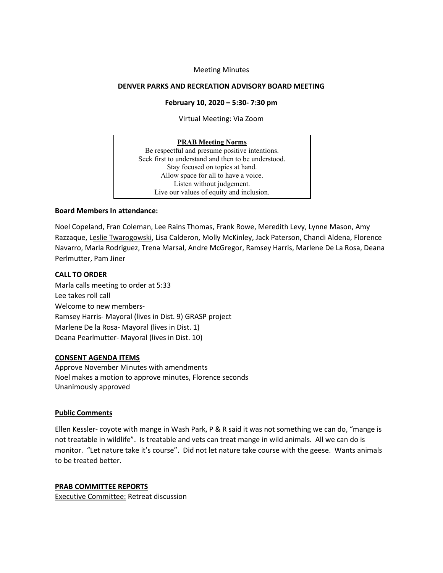### Meeting Minutes

#### **DENVER PARKS AND RECREATION ADVISORY BOARD MEETING**

#### **February 10, 2020 – 5:30- 7:30 pm**

Virtual Meeting: Via Zoom

#### **PRAB Meeting Norms**

Be respectful and presume positive intentions. Seek first to understand and then to be understood. Stay focused on topics at hand. Allow space for all to have a voice. Listen without judgement. Live our values of equity and inclusion.

### **Board Members In attendance:**

Noel Copeland, Fran Coleman, Lee Rains Thomas, Frank Rowe, Meredith Levy, Lynne Mason, Amy Razzaque, Leslie Twarogowski, Lisa Calderon, Molly McKinley, Jack Paterson, Chandi Aldena, Florence Navarro, Marla Rodriguez, Trena Marsal, Andre McGregor, Ramsey Harris, Marlene De La Rosa, Deana Perlmutter, Pam Jiner

### **CALL TO ORDER**

Marla calls meeting to order at 5:33 Lee takes roll call Welcome to new members-Ramsey Harris- Mayoral (lives in Dist. 9) GRASP project Marlene De la Rosa- Mayoral (lives in Dist. 1) Deana Pearlmutter- Mayoral (lives in Dist. 10)

#### **CONSENT AGENDA ITEMS**

Approve November Minutes with amendments Noel makes a motion to approve minutes, Florence seconds Unanimously approved

#### **Public Comments**

Ellen Kessler- coyote with mange in Wash Park, P & R said it was not something we can do, "mange is not treatable in wildlife". Is treatable and vets can treat mange in wild animals. All we can do is monitor. "Let nature take it's course". Did not let nature take course with the geese. Wants animals to be treated better.

# **PRAB COMMITTEE REPORTS**

Executive Committee: Retreat discussion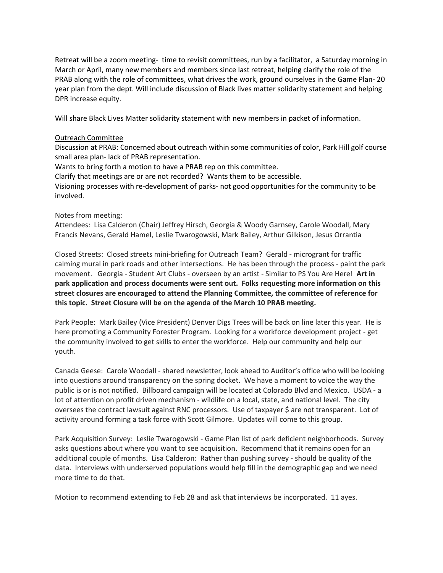Retreat will be a zoom meeting- time to revisit committees, run by a facilitator, a Saturday morning in March or April, many new members and members since last retreat, helping clarify the role of the PRAB along with the role of committees, what drives the work, ground ourselves in the Game Plan- 20 year plan from the dept. Will include discussion of Black lives matter solidarity statement and helping DPR increase equity.

Will share Black Lives Matter solidarity statement with new members in packet of information.

### Outreach Committee

Discussion at PRAB: Concerned about outreach within some communities of color, Park Hill golf course small area plan- lack of PRAB representation.

Wants to bring forth a motion to have a PRAB rep on this committee.

Clarify that meetings are or are not recorded? Wants them to be accessible.

Visioning processes with re-development of parks- not good opportunities for the community to be involved.

### Notes from meeting:

Attendees: Lisa Calderon (Chair) Jeffrey Hirsch, Georgia & Woody Garnsey, Carole Woodall, Mary Francis Nevans, Gerald Hamel, Leslie Twarogowski, Mark Bailey, Arthur Gilkison, Jesus Orrantia

Closed Streets: Closed streets mini-briefing for Outreach Team? Gerald - microgrant for traffic calming mural in park roads and other intersections. He has been through the process - paint the park movement. Georgia - Student Art Clubs - overseen by an artist - Similar to PS You Are Here! **Art in park application and process documents were sent out. Folks requesting more information on this street closures are encouraged to attend the Planning Committee, the committee of reference for this topic. Street Closure will be on the agenda of the March 10 PRAB meeting.**

Park People: Mark Bailey (Vice President) Denver Digs Trees will be back on line later this year. He is here promoting a Community Forester Program. Looking for a workforce development project - get the community involved to get skills to enter the workforce. Help our community and help our youth.

Canada Geese: Carole Woodall - shared newsletter, look ahead to Auditor's office who will be looking into questions around transparency on the spring docket. We have a moment to voice the way the public is or is not notified. Billboard campaign will be located at Colorado Blvd and Mexico. USDA - a lot of attention on profit driven mechanism - wildlife on a local, state, and national level. The city oversees the contract lawsuit against RNC processors. Use of taxpayer \$ are not transparent. Lot of activity around forming a task force with Scott Gilmore. Updates will come to this group.

Park Acquisition Survey: Leslie Twarogowski - Game Plan list of park deficient neighborhoods. Survey asks questions about where you want to see acquisition. Recommend that it remains open for an additional couple of months. Lisa Calderon: Rather than pushing survey - should be quality of the data. Interviews with underserved populations would help fill in the demographic gap and we need more time to do that.

Motion to recommend extending to Feb 28 and ask that interviews be incorporated. 11 ayes.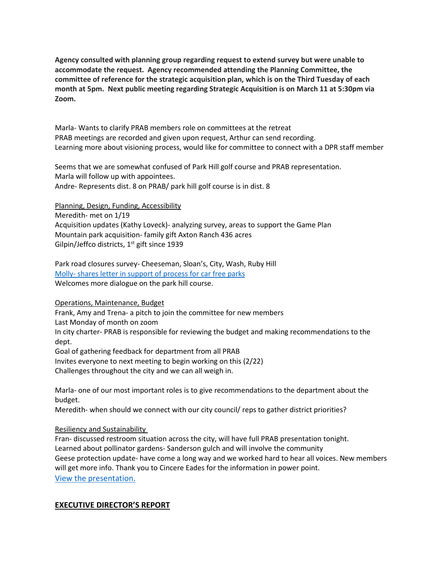**Agency consulted with planning group regarding request to extend survey but were unable to accommodate the request. Agency recommended attending the Planning Committee, the committee of reference for the strategic acquisition plan, which is on the Third Tuesday of each month at 5pm. Next public meeting regarding Strategic Acquisition is on March 11 at 5:30pm via Zoom.**

Marla- Wants to clarify PRAB members role on committees at the retreat PRAB meetings are recorded and given upon request, Arthur can send recording. Learning more about visioning process, would like for committee to connect with a DPR staff member

Seems that we are somewhat confused of Park Hill golf course and PRAB representation. Marla will follow up with appointees. Andre- Represents dist. 8 on PRAB/ park hill golf course is in dist. 8

Planning, Design, Funding, Accessibility

Meredith- met on 1/19

Acquisition updates (Kathy Loveck)- analyzing survey, areas to support the Game Plan Mountain park acquisition- family gift Axton Ranch 436 acres Gilpin/Jeffco districts,  $1<sup>st</sup>$  gift since 1939

Park road closures survey- Cheeseman, Sloan's, City, Wash, Ruby Hill Molly- [shares letter in support of process for car](https://denvergov.org/files/assets/public/parks-and-recreation/documents/planning/prab/prab_carfreeparks_letterofsupport_02102021.pdf) free parks Welcomes more dialogue on the park hill course.

Operations, Maintenance, Budget

Frank, Amy and Trena- a pitch to join the committee for new members Last Monday of month on zoom In city charter- PRAB is responsible for reviewing the budget and making recommendations to the dept. Goal of gathering feedback for department from all PRAB

Invites everyone to next meeting to begin working on this (2/22) Challenges throughout the city and we can all weigh in.

Marla- one of our most important roles is to give recommendations to the department about the budget.

Meredith- when should we connect with our city council/ reps to gather district priorities?

# Resiliency and Sustainability

Fran- discussed restroom situation across the city, will have full PRAB presentation tonight. Learned about pollinator gardens- Sanderson gulch and will involve the community Geese protection update- have come a long way and we worked hard to hear all voices. New members will get more info. Thank you to Cincere Eades for the information in power point. [View the presentation.](https://denvergov.org/files/assets/public/parks-and-recreation/documents/planning/prab/prab_resiliencyprogrampresentation_02102021.pdf)

# **EXECUTIVE DIRECTOR'S REPORT**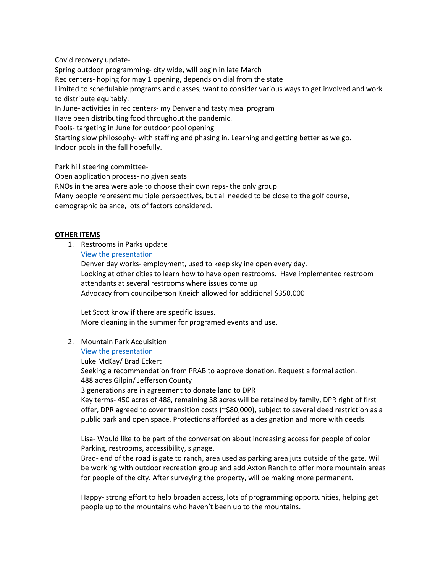Covid recovery update-

Spring outdoor programming- city wide, will begin in late March Rec centers- hoping for may 1 opening, depends on dial from the state Limited to schedulable programs and classes, want to consider various ways to get involved and work to distribute equitably. In June- activities in rec centers- my Denver and tasty meal program Have been distributing food throughout the pandemic. Pools- targeting in June for outdoor pool opening Starting slow philosophy- with staffing and phasing in. Learning and getting better as we go.

Indoor pools in the fall hopefully.

Park hill steering committee-

Open application process- no given seats

RNOs in the area were able to choose their own reps- the only group

Many people represent multiple perspectives, but all needed to be close to the golf course,

demographic balance, lots of factors considered.

# **OTHER ITEMS**

1. Restrooms in Parks update

[View the presentation](https://denvergov.org/files/assets/public/parks-and-recreation/documents/planning/prab/prab_parkrestroompresentation_0210202110.pdf)

Denver day works- employment, used to keep skyline open every day. Looking at other cities to learn how to have open restrooms. Have implemented restroom attendants at several restrooms where issues come up Advocacy from councilperson Kneich allowed for additional \$350,000

Let Scott know if there are specific issues. More cleaning in the summer for programed events and use.

2. Mountain Park Acquisition

# [View the presentation](https://denvergov.org/files/assets/public/parks-and-recreation/documents/planning/prab/prab_axtonranchdonationpresentation_02102021.pdf)

Luke McKay/ Brad Eckert Seeking a recommendation from PRAB to approve donation. Request a formal action. 488 acres Gilpin/ Jefferson County 3 generations are in agreement to donate land to DPR Key terms- 450 acres of 488, remaining 38 acres will be retained by family, DPR right of first offer, DPR agreed to cover transition costs (~\$80,000), subject to several deed restriction as a public park and open space. Protections afforded as a designation and more with deeds.

Lisa- Would like to be part of the conversation about increasing access for people of color Parking, restrooms, accessibility, signage.

Brad- end of the road is gate to ranch, area used as parking area juts outside of the gate. Will be working with outdoor recreation group and add Axton Ranch to offer more mountain areas for people of the city. After surveying the property, will be making more permanent.

Happy- strong effort to help broaden access, lots of programming opportunities, helping get people up to the mountains who haven't been up to the mountains.